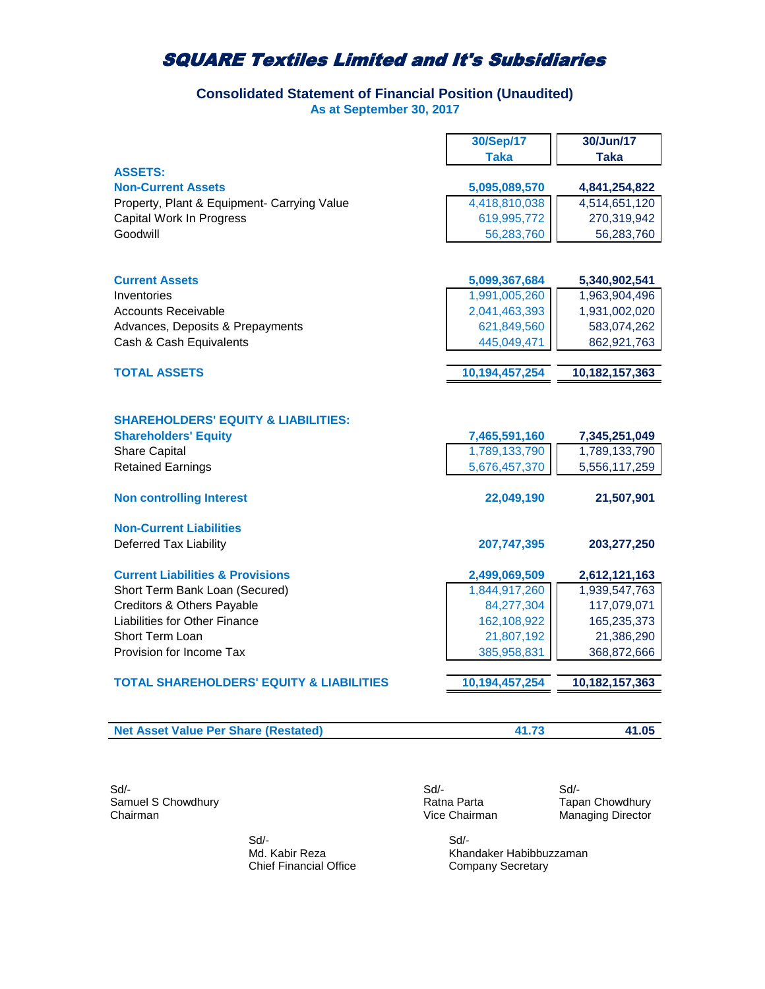## **Consolidated Statement of Financial Position (Unaudited) As at September 30, 2017**

|                                                                                                                                   | 30/Sep/17                                       | 30/Jun/17                                       |
|-----------------------------------------------------------------------------------------------------------------------------------|-------------------------------------------------|-------------------------------------------------|
|                                                                                                                                   | <b>Taka</b>                                     | Taka                                            |
| <b>ASSETS:</b>                                                                                                                    |                                                 |                                                 |
| <b>Non-Current Assets</b>                                                                                                         | 5,095,089,570                                   | 4,841,254,822                                   |
| Property, Plant & Equipment- Carrying Value                                                                                       | 4,418,810,038                                   | 4,514,651,120                                   |
| Capital Work In Progress                                                                                                          | 619,995,772                                     | 270,319,942                                     |
| Goodwill                                                                                                                          | 56,283,760                                      | 56,283,760                                      |
|                                                                                                                                   |                                                 |                                                 |
|                                                                                                                                   |                                                 |                                                 |
| <b>Current Assets</b>                                                                                                             | 5,099,367,684                                   | 5,340,902,541                                   |
| Inventories                                                                                                                       | 1,991,005,260                                   | 1,963,904,496                                   |
| <b>Accounts Receivable</b>                                                                                                        | 2,041,463,393                                   | 1,931,002,020                                   |
| Advances, Deposits & Prepayments                                                                                                  | 621,849,560                                     | 583,074,262                                     |
| Cash & Cash Equivalents                                                                                                           | 445,049,471                                     | 862,921,763                                     |
|                                                                                                                                   |                                                 |                                                 |
| <b>TOTAL ASSETS</b>                                                                                                               | 10,194,457,254                                  | 10,182,157,363                                  |
| <b>SHAREHOLDERS' EQUITY &amp; LIABILITIES:</b><br><b>Shareholders' Equity</b><br><b>Share Capital</b><br><b>Retained Earnings</b> | 7,465,591,160<br>1,789,133,790<br>5,676,457,370 | 7,345,251,049<br>1,789,133,790<br>5,556,117,259 |
| <b>Non controlling Interest</b>                                                                                                   | 22,049,190                                      | 21,507,901                                      |
| <b>Non-Current Liabilities</b><br>Deferred Tax Liability                                                                          | 207,747,395                                     | 203,277,250                                     |
| <b>Current Liabilities &amp; Provisions</b>                                                                                       | 2,499,069,509                                   | 2,612,121,163                                   |
| Short Term Bank Loan (Secured)                                                                                                    | 1,844,917,260                                   | 1,939,547,763                                   |
| <b>Creditors &amp; Others Payable</b>                                                                                             | 84,277,304                                      | 117,079,071                                     |
| Liabilities for Other Finance                                                                                                     | 162,108,922                                     | 165,235,373                                     |
| Short Term Loan                                                                                                                   | 21,807,192                                      | 21,386,290                                      |
| Provision for Income Tax                                                                                                          | 385,958,831                                     | 368,872,666                                     |
|                                                                                                                                   |                                                 |                                                 |
| <b>TOTAL SHAREHOLDERS' EQUITY &amp; LIABILITIES</b>                                                                               | 10,194,457,254                                  | 10,182,157,363                                  |
|                                                                                                                                   |                                                 |                                                 |

| <b>Net Asset Value Per Share (Restated)</b><br>41.05 |
|------------------------------------------------------|
|------------------------------------------------------|

Sd/- Sd/- Sd/- Samuel S Chowdhury **Samuel S Chowdhury** Chairman **Ratna Parta** Tapan Chowdhury Chairman **Chowdhury** Chairman **Managing Director** 

 Sd/- Sd/- Chief Financial Office

Managing Director

Md. Kabir Reza Khandaker Habibbuzzaman<br>Chief Financial Office Company Secretary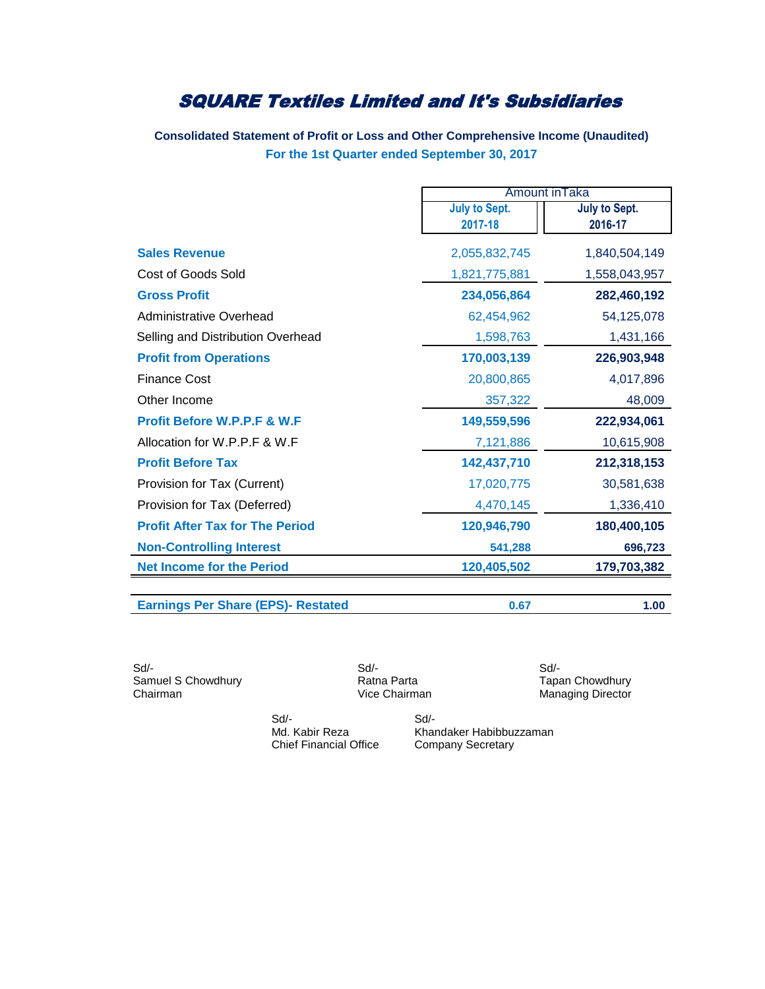**Consolidated Statement of Profit or Loss and Other Comprehensive Income (Unaudited) For the 1st Quarter ended September 30, 2017**

|                                        | Amount in Taka                  |                          |  |
|----------------------------------------|---------------------------------|--------------------------|--|
|                                        | <b>July to Sept.</b><br>2017-18 | July to Sept.<br>2016-17 |  |
|                                        |                                 |                          |  |
| <b>Sales Revenue</b>                   | 2,055,832,745                   | 1,840,504,149            |  |
| Cost of Goods Sold                     | 1,821,775,881                   | 1,558,043,957            |  |
| <b>Gross Profit</b>                    | 234,056,864                     | 282,460,192              |  |
| <b>Administrative Overhead</b>         | 62,454,962                      | 54,125,078               |  |
| Selling and Distribution Overhead      | 1,598,763                       | 1,431,166                |  |
| <b>Profit from Operations</b>          | 170,003,139                     | 226,903,948              |  |
| <b>Finance Cost</b>                    | 20,800,865                      | 4,017,896                |  |
| Other Income                           | 357,322                         | 48,009                   |  |
| Profit Before W.P.P.F & W.F            | 149,559,596                     | 222,934,061              |  |
| Allocation for W.P.P.F & W.F           | 7,121,886                       | 10,615,908               |  |
| <b>Profit Before Tax</b>               | 142,437,710                     | 212,318,153              |  |
| Provision for Tax (Current)            | 17,020,775                      | 30,581,638               |  |
| Provision for Tax (Deferred)           | 4,470,145                       | 1,336,410                |  |
| <b>Profit After Tax for The Period</b> | 120,946,790                     | 180,400,105              |  |
| <b>Non-Controlling Interest</b>        | 541,288                         | 696,723                  |  |
| <b>Net Income for the Period</b>       | 120,405,502                     | 179,703,382              |  |

**Earnings Per Share (EPS)- Restated 0.67 1.00**

Sd/- Sd/- Sd/- Samuel S Chowdhury **Samuel S Chowdhury** Ratna Parta **New York Chairman** Tapan Chowdhury<br>
Vice Chairman Managing Director

Managing Director

 Sd/- Sd/- Chief Financial Office Company Secretary

Md. Kabir Reza Khandaker Habibbuzzaman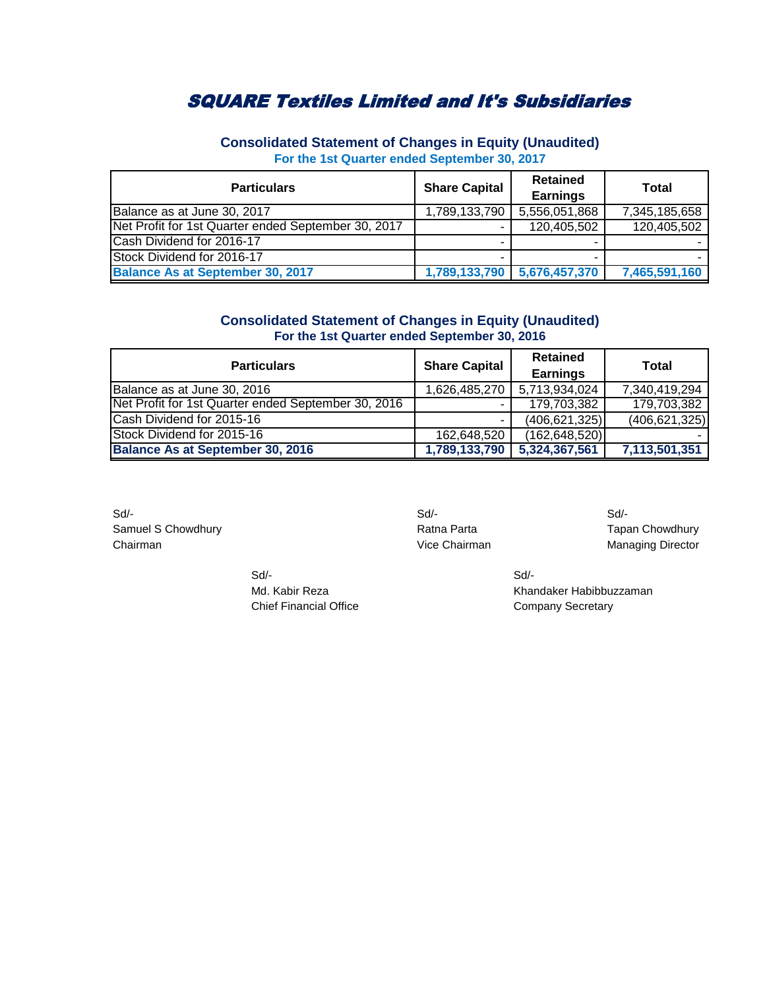| <b>Particulars</b>                                  | <b>Share Capital</b> | <b>Retained</b><br><b>Earnings</b> | <b>Total</b>  |
|-----------------------------------------------------|----------------------|------------------------------------|---------------|
| Balance as at June 30, 2017                         | 1,789,133,790        | 5,556,051,868                      | 7,345,185,658 |
| Net Profit for 1st Quarter ended September 30, 2017 |                      | 120,405,502                        | 120,405,502   |
| Cash Dividend for 2016-17                           |                      |                                    |               |
| Stock Dividend for 2016-17                          |                      |                                    |               |
| <b>Balance As at September 30, 2017</b>             |                      | 1,789,133,790   5,676,457,370      | 7,465,591,160 |

**Consolidated Statement of Changes in Equity (Unaudited) For the 1st Quarter ended September 30, 2017**

### **Consolidated Statement of Changes in Equity (Unaudited) For the 1st Quarter ended September 30, 2016**

| <b>Particulars</b>                                  | <b>Share Capital</b> | <b>Retained</b><br><b>Earnings</b> | Total           |
|-----------------------------------------------------|----------------------|------------------------------------|-----------------|
| Balance as at June 30, 2016                         | 1,626,485,270        | 5,713,934,024                      | 7,340,419,294   |
| Net Profit for 1st Quarter ended September 30, 2016 |                      | 179,703,382                        | 179,703,382     |
| Cash Dividend for 2015-16                           |                      | (406, 621, 325)                    | (406, 621, 325) |
| Stock Dividend for 2015-16                          | 162,648,520          | (162, 648, 520)                    |                 |
| <b>Balance As at September 30, 2016</b>             | 1,789,133,790        | 5,324,367,561                      | 7,113,501,351   |

Sd/- Sd/- Sd/- Samuel S Chowdhury **Samuel S Chowdhury Ratna Parta** Ratna Parta Tapan Chowdhury Chairman **Chairman** Vice Chairman **Managing Director** Vice Chairman Managing Director

Md. Kabir Reza Khandaker Habibbuzzaman Chief Financial Office Chief Financial Office

Sd/- Sd/-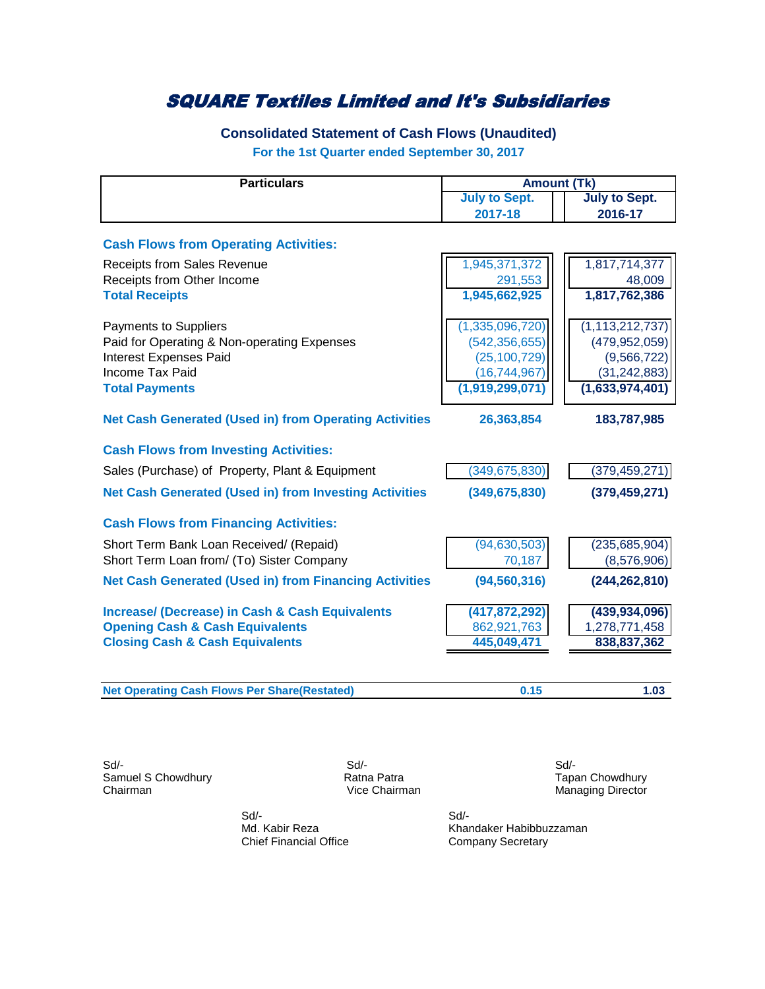## **Consolidated Statement of Cash Flows (Unaudited)**

**For the 1st Quarter ended September 30, 2017**

| <b>Particulars</b>                                            | <b>Amount (Tk)</b>                           |                    |
|---------------------------------------------------------------|----------------------------------------------|--------------------|
|                                                               | <b>July to Sept.</b><br><b>July to Sept.</b> |                    |
|                                                               | 2017-18                                      | 2016-17            |
| <b>Cash Flows from Operating Activities:</b>                  |                                              |                    |
| <b>Receipts from Sales Revenue</b>                            | 1,945,371,372                                | 1,817,714,377      |
| Receipts from Other Income                                    | 291,553                                      | 48,009             |
| <b>Total Receipts</b>                                         | 1,945,662,925                                | 1,817,762,386      |
| <b>Payments to Suppliers</b>                                  | (1,335,096,720)                              | (1, 113, 212, 737) |
| Paid for Operating & Non-operating Expenses                   | (542, 356, 655)                              | (479, 952, 059)    |
| <b>Interest Expenses Paid</b>                                 | (25, 100, 729)                               | (9, 566, 722)      |
| Income Tax Paid                                               | (16, 744, 967)                               | (31, 242, 883)     |
| <b>Total Payments</b>                                         | (1,919,299,071)                              | (1,633,974,401)    |
| <b>Net Cash Generated (Used in) from Operating Activities</b> | 26,363,854                                   | 183,787,985        |
| <b>Cash Flows from Investing Activities:</b>                  |                                              |                    |
| Sales (Purchase) of Property, Plant & Equipment               | (349, 675, 830)                              | (379, 459, 271)    |
| <b>Net Cash Generated (Used in) from Investing Activities</b> | (349, 675, 830)                              | (379, 459, 271)    |
| <b>Cash Flows from Financing Activities:</b>                  |                                              |                    |
| Short Term Bank Loan Received/ (Repaid)                       | (94, 630, 503)                               | (235, 685, 904)    |
| Short Term Loan from/ (To) Sister Company                     | 70,187                                       | (8,576,906)        |
| <b>Net Cash Generated (Used in) from Financing Activities</b> | (94, 560, 316)                               | (244, 262, 810)    |
| <b>Increase/ (Decrease) in Cash &amp; Cash Equivalents</b>    | (417, 872, 292)                              | (439, 934, 096)    |
| <b>Opening Cash &amp; Cash Equivalents</b>                    | 862,921,763                                  | 1,278,771,458      |
| <b>Closing Cash &amp; Cash Equivalents</b>                    | 445,049,471                                  | 838,837,362        |
|                                                               |                                              |                    |
| <b>Net Operating Cash Flows Per Share(Restated)</b>           | 0.15                                         | 1.03               |

Sd/- Sd/- Sd/- Samuel S Chowdhury **Samuel S Chowdhury**<br>
Ratna Patra **National Science Chairman**<br>
Vice Chairman **Managing Director** 

Managing Director

Sd/- Sd/-

Md. Kabir Reza **Khandaker Habibbuzzaman**<br>
Company Secretary<br>
Company Secretary Company Secretary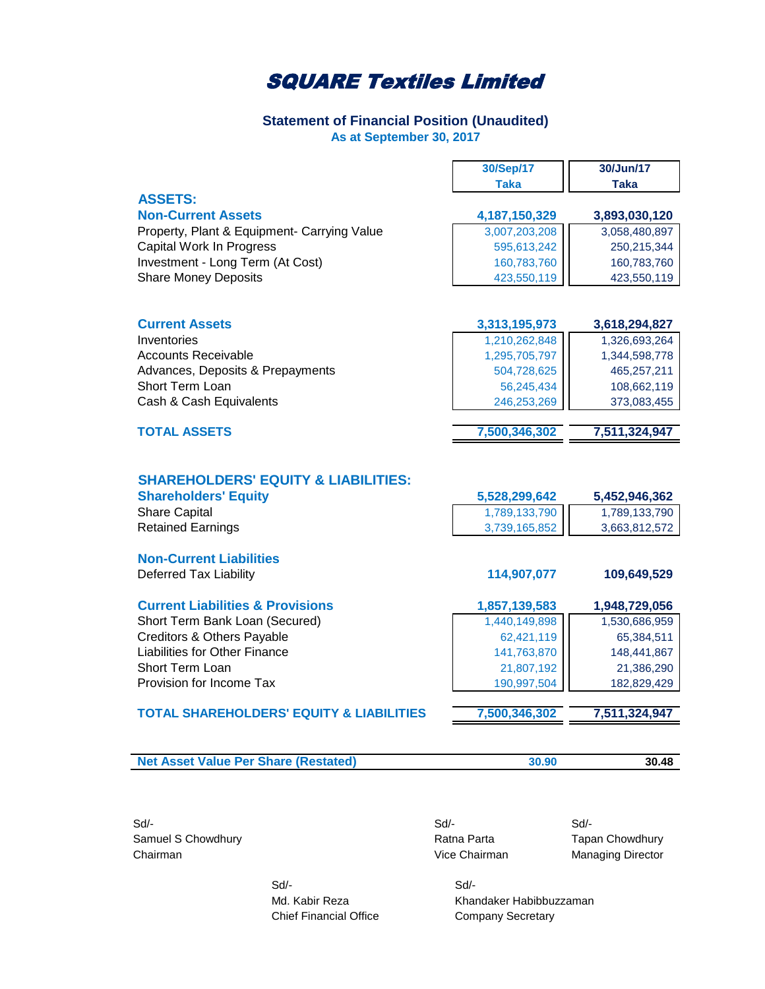### **Statement of Financial Position (Unaudited) As at September 30, 2017**

|                                             | 30/Sep/17     | 30/Jun/17     |
|---------------------------------------------|---------------|---------------|
|                                             | <b>Taka</b>   | <b>Taka</b>   |
| <b>ASSETS:</b>                              |               |               |
| <b>Non-Current Assets</b>                   | 4,187,150,329 | 3,893,030,120 |
| Property, Plant & Equipment- Carrying Value | 3,007,203,208 | 3,058,480,897 |
| Capital Work In Progress                    | 595,613,242   | 250,215,344   |
| Investment - Long Term (At Cost)            | 160,783,760   | 160,783,760   |
| <b>Share Money Deposits</b>                 | 423,550,119   | 423,550,119   |
|                                             |               |               |
|                                             |               |               |
|                                             |               |               |

| <b>Current Assets</b>            | 3,313,195,973 | 3,618,294,827 |
|----------------------------------|---------------|---------------|
| Inventories                      | 1,210,262,848 | 1,326,693,264 |
| Accounts Receivable              | 1,295,705,797 | 1,344,598,778 |
| Advances, Deposits & Prepayments | 504,728,625   | 465.257.211   |
| <b>Short Term Loan</b>           | 56,245,434    | 108,662,119   |
| Cash & Cash Equivalents          | 246,253,269   | 373,083,455   |
|                                  |               |               |

| <b>TOTAL ASSETS</b> | 7,500,346,302 | 7.511.324.947 |
|---------------------|---------------|---------------|
|                     |               |               |

### **SHAREHOLDERS' EQUITY & LIABILITIES:**

| <b>Shareholders' Equity</b> | 5.528.299.642 | 5,452,946,362 |
|-----------------------------|---------------|---------------|
| <b>Share Capital</b>        | 1,789,133,790 | 1,789,133,790 |
| Retained Earnings           | 3,739,165,852 | 3,663,812,572 |
|                             |               |               |

### **Non-Current Liabilities** Deferred Tax Liability **114,907,077 109,649,529**

| <b>Current Liabilities &amp; Provisions</b> | 1,857,139,583 | 1,948,729,056 |
|---------------------------------------------|---------------|---------------|
| Short Term Bank Loan (Secured)              | 1,440,149,898 | 1,530,686,959 |
| Creditors & Others Payable                  | 62,421,119    | 65,384,511    |
| Liabilities for Other Finance               | 141,763,870   | 148,441,867   |
| <b>Short Term Loan</b>                      | 21,807,192    | 21,386,290    |
| Provision for Income Tax                    | 190,997,504   | 182,829,429   |
|                                             |               |               |

#### **TOTAL SHAREHOLDERS' EQUITY & LIABILITIES 7,500,346,302 7,511,324,947**

| <b>Net Asset Value Per Share (Restated)</b> | 30.48 |
|---------------------------------------------|-------|

Sd/- Sd/- Sd/- Samuel S Chowdhury **Samuel S Chowdhury Ratna Parta** Tapan Chowdhury Chairman Chairman Chairman Chairman Managing Director

 Sd/- Sd/- Chief Financial Office Company Secretary

Md. Kabir Reza Khandaker Habibbuzzaman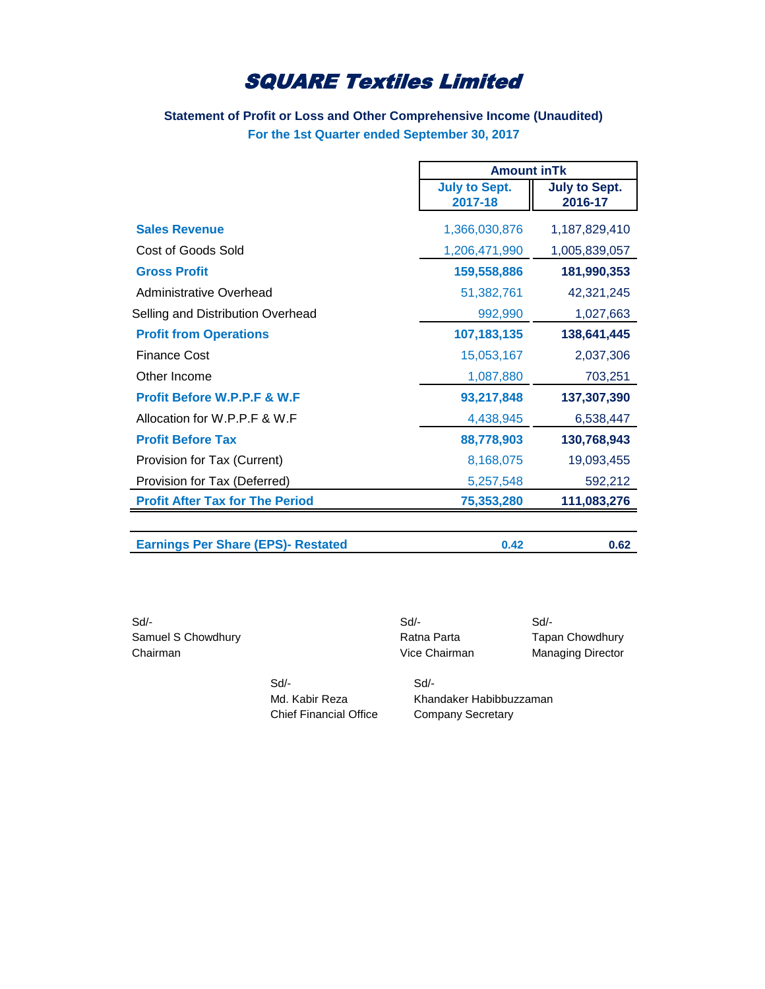## **Statement of Profit or Loss and Other Comprehensive Income (Unaudited) For the 1st Quarter ended September 30, 2017**

|                                           |                                 | <b>Amount in Tk</b>             |  |
|-------------------------------------------|---------------------------------|---------------------------------|--|
|                                           | <b>July to Sept.</b><br>2017-18 | <b>July to Sept.</b><br>2016-17 |  |
| <b>Sales Revenue</b>                      | 1,366,030,876                   | 1,187,829,410                   |  |
| Cost of Goods Sold                        | 1,206,471,990                   | 1,005,839,057                   |  |
| <b>Gross Profit</b>                       | 159,558,886                     | 181,990,353                     |  |
| Administrative Overhead                   | 51,382,761                      | 42,321,245                      |  |
| Selling and Distribution Overhead         | 992,990                         | 1,027,663                       |  |
| <b>Profit from Operations</b>             | 107, 183, 135                   | 138,641,445                     |  |
| <b>Finance Cost</b>                       | 15,053,167                      | 2,037,306                       |  |
| Other Income                              | 1,087,880                       | 703,251                         |  |
| <b>Profit Before W.P.P.F &amp; W.F.</b>   | 93,217,848                      | 137,307,390                     |  |
| Allocation for W.P.P.F & W.F              | 4,438,945                       | 6,538,447                       |  |
| <b>Profit Before Tax</b>                  | 88,778,903                      | 130,768,943                     |  |
| Provision for Tax (Current)               | 8,168,075                       | 19,093,455                      |  |
| Provision for Tax (Deferred)              | 5,257,548                       | 592,212                         |  |
| <b>Profit After Tax for The Period</b>    | 75,353,280                      | 111,083,276                     |  |
| <b>Earnings Per Share (EPS)- Restated</b> | 0.42                            | 0.62                            |  |

| Sd/-               |                               | Sd                      | Sd/-                     |
|--------------------|-------------------------------|-------------------------|--------------------------|
| Samuel S Chowdhury |                               | Ratna Parta             | <b>Tapan Chowdhury</b>   |
| Chairman           |                               | Vice Chairman           | <b>Managing Director</b> |
|                    | Sd                            | Sd                      |                          |
|                    | Md. Kabir Reza                | Khandaker Habibbuzzaman |                          |
|                    | <b>Chief Financial Office</b> | Company Secretary       |                          |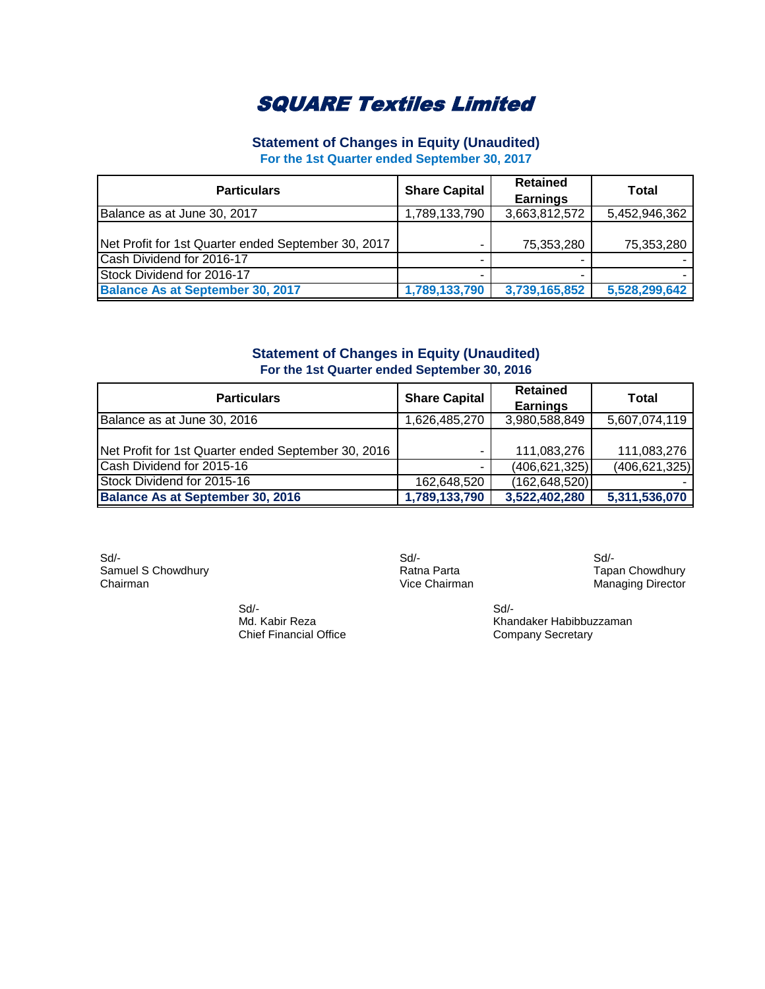## **Statement of Changes in Equity (Unaudited)**

**For the 1st Quarter ended September 30, 2017**

| <b>Particulars</b>                                  | <b>Share Capital</b> | <b>Retained</b><br><b>Earnings</b> | Total         |
|-----------------------------------------------------|----------------------|------------------------------------|---------------|
| Balance as at June 30, 2017                         | 1,789,133,790        | 3,663,812,572                      | 5,452,946,362 |
| Net Profit for 1st Quarter ended September 30, 2017 | ۰                    | 75,353,280                         | 75,353,280    |
| Cash Dividend for 2016-17                           |                      |                                    |               |
| Stock Dividend for 2016-17                          |                      |                                    |               |
| <b>Balance As at September 30, 2017</b>             | 1,789,133,790        | 3,739,165,852                      | 5,528,299,642 |

## **Statement of Changes in Equity (Unaudited) For the 1st Quarter ended September 30, 2016**

| <b>Particulars</b>                                  | <b>Share Capital</b> | <b>Retained</b><br><b>Earnings</b> | Total           |
|-----------------------------------------------------|----------------------|------------------------------------|-----------------|
| Balance as at June 30, 2016                         | 1,626,485,270        | 3,980,588,849                      | 5,607,074,119   |
|                                                     |                      |                                    |                 |
| Net Profit for 1st Quarter ended September 30, 2016 | ۰                    | 111,083,276                        | 111,083,276     |
| Cash Dividend for 2015-16                           |                      | (406, 621, 325)                    | (406, 621, 325) |
| Stock Dividend for 2015-16                          | 162,648,520          | (162, 648, 520)                    |                 |
| <b>Balance As at September 30, 2016</b>             | 1,789,133,790        | 3,522,402,280                      | 5,311,536,070   |

Sd/- Sd/- Sd/- Samuel S Chowdhury **Samuel S Chowdhury Ratna Parta** Tapan Chowdhury Chairman Chowdhury Chairman Chowdhury Chairman Chowdhury Chairman Chowdhury Chairman Chowdhury Chairman Chowdhury Chairman Chowdhury Chairman Chowdhury

 Sd/- Sd/- Chief Financial Office

Managing Director

Md. Kabir Reza<br>
Chief Financial Office<br>
Company Secretary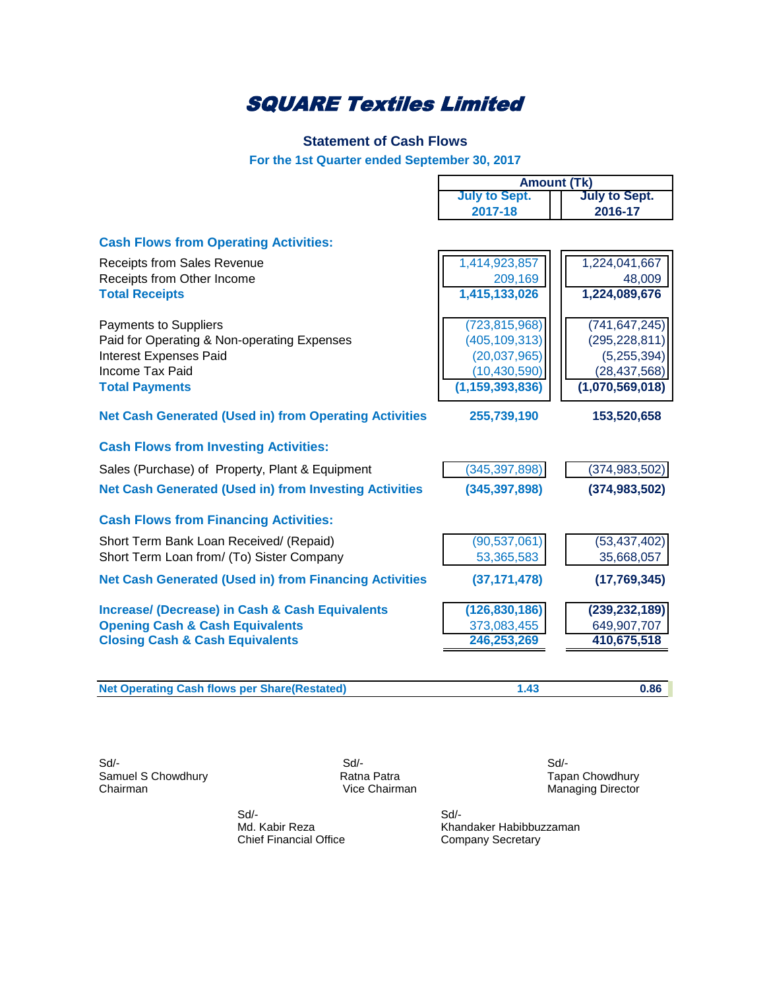## **Statement of Cash Flows**

**For the 1st Quarter ended September 30, 2017**

 $\mathsf{l}$ 

|                                                               | <b>July to Sept.</b> | <b>July to Sept.</b> |
|---------------------------------------------------------------|----------------------|----------------------|
|                                                               | 2017-18              | 2016-17              |
| <b>Cash Flows from Operating Activities:</b>                  |                      |                      |
| <b>Receipts from Sales Revenue</b>                            | 1,414,923,857        | 1,224,041,667        |
| Receipts from Other Income                                    | 209,169              | 48,009               |
| <b>Total Receipts</b>                                         | 1,415,133,026        | 1,224,089,676        |
| <b>Payments to Suppliers</b>                                  | (723, 815, 968)      | (741, 647, 245)      |
| Paid for Operating & Non-operating Expenses                   | (405, 109, 313)      | (295, 228, 811)      |
| <b>Interest Expenses Paid</b>                                 | (20,037,965)         | (5,255,394)          |
| Income Tax Paid                                               | (10, 430, 590)       | (28, 437, 568)       |
| <b>Total Payments</b>                                         | (1, 159, 393, 836)   | (1,070,569,018)      |
| <b>Net Cash Generated (Used in) from Operating Activities</b> | 255,739,190          | 153,520,658          |
| <b>Cash Flows from Investing Activities:</b>                  |                      |                      |
| Sales (Purchase) of Property, Plant & Equipment               | (345, 397, 898)      | (374, 983, 502)      |
| <b>Net Cash Generated (Used in) from Investing Activities</b> | (345, 397, 898)      | (374, 983, 502)      |
| <b>Cash Flows from Financing Activities:</b>                  |                      |                      |
| Short Term Bank Loan Received/ (Repaid)                       | (90, 537, 061)       | (53, 437, 402)       |
| Short Term Loan from/ (To) Sister Company                     | 53,365,583           | 35,668,057           |
| <b>Net Cash Generated (Used in) from Financing Activities</b> | (37, 171, 478)       | (17,769,345)         |
| <b>Increase/ (Decrease) in Cash &amp; Cash Equivalents</b>    | (126, 830, 186)      | (239, 232, 189)      |
| <b>Opening Cash &amp; Cash Equivalents</b>                    | 373,083,455          | 649,907,707          |
| <b>Closing Cash &amp; Cash Equivalents</b>                    | 246,253,269          | 410,675,518          |
|                                                               |                      |                      |
| <b>Net Operating Cash flows per Share(Restated)</b>           | 1.43                 | 0.86                 |

Sd/- Sd/- Sd/- Samuel S Chowdhury **Samuel S Chowdhury** Ratna Patra **Ratna Patra** Tapan Chowdhury Chairman **Tapan Chowdhury** Chairman

Managing Director

**Amount (Tk)**

 Sd/- Sd/- Chief Financial Office

Md. Kabir Reza<br>
Chief Financial Office<br>
Company Secretary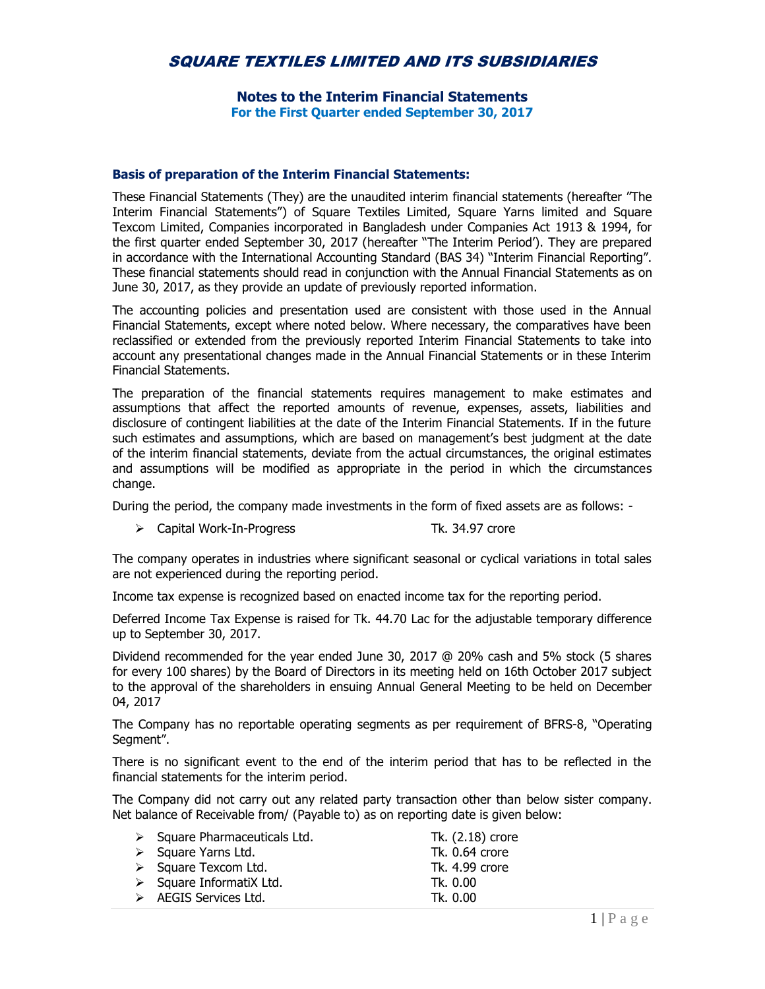## SQUARE TEXTILES LIMITED AND ITS SUBSIDIARIES

#### **Notes to the Interim Financial Statements For the First Quarter ended September 30, 2017**

#### **Basis of preparation of the Interim Financial Statements:**

These Financial Statements (They) are the unaudited interim financial statements (hereafter "The Interim Financial Statements") of Square Textiles Limited, Square Yarns limited and Square Texcom Limited, Companies incorporated in Bangladesh under Companies Act 1913 & 1994, for the first quarter ended September 30, 2017 (hereafter "The Interim Period'). They are prepared in accordance with the International Accounting Standard (BAS 34) "Interim Financial Reporting". These financial statements should read in conjunction with the Annual Financial Statements as on June 30, 2017, as they provide an update of previously reported information.

The accounting policies and presentation used are consistent with those used in the Annual Financial Statements, except where noted below. Where necessary, the comparatives have been reclassified or extended from the previously reported Interim Financial Statements to take into account any presentational changes made in the Annual Financial Statements or in these Interim Financial Statements.

The preparation of the financial statements requires management to make estimates and assumptions that affect the reported amounts of revenue, expenses, assets, liabilities and disclosure of contingent liabilities at the date of the Interim Financial Statements. If in the future such estimates and assumptions, which are based on management's best judgment at the date of the interim financial statements, deviate from the actual circumstances, the original estimates and assumptions will be modified as appropriate in the period in which the circumstances change.

During the period, the company made investments in the form of fixed assets are as follows: -

> Capital Work-In-Progress Tk. 34.97 crore

The company operates in industries where significant seasonal or cyclical variations in total sales are not experienced during the reporting period.

Income tax expense is recognized based on enacted income tax for the reporting period.

Deferred Income Tax Expense is raised for Tk. 44.70 Lac for the adjustable temporary difference up to September 30, 2017.

Dividend recommended for the year ended June 30, 2017 @ 20% cash and 5% stock (5 shares for every 100 shares) by the Board of Directors in its meeting held on 16th October 2017 subject to the approval of the shareholders in ensuing Annual General Meeting to be held on December 04, 2017

The Company has no reportable operating segments as per requirement of BFRS-8, "Operating Segment".

There is no significant event to the end of the interim period that has to be reflected in the financial statements for the interim period.

The Company did not carry out any related party transaction other than below sister company. Net balance of Receivable from/ (Payable to) as on reporting date is given below:

| $\triangleright$ Square Pharmaceuticals Ltd. | Tk. (2.18) crore |
|----------------------------------------------|------------------|
| $\triangleright$ Square Yarns Ltd.           | Tk. 0.64 crore   |
| $\triangleright$ Square Texcom Ltd.          | Tk. 4.99 crore   |
| $\triangleright$ Square InformatiX Ltd.      | Tk. 0.00         |
| $\triangleright$ AEGIS Services Ltd.         | Tk. 0.00         |